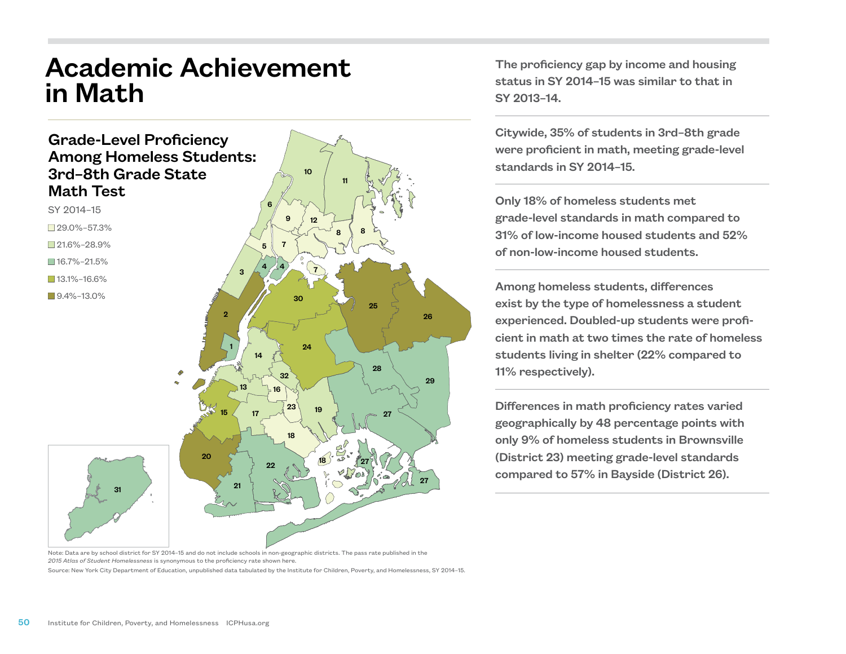## Academic Achievement in Math

## Grade-Level Proficiency Among Homeless Students: 3rd–8th Grade State Math Test



10

The proficiency gap by income and housing status in SY 2014–15 was similar to that in SY 2013–14.

Citywide, 35% of students in 3rd–8th grade were proficient in math, meeting grade-level standards in SY 2014–15.

Only 18% of homeless students met grade-level standards in math compared to 31% of low-income housed students and 52% of non-low-income housed students.

Among homeless students, differences exist by the type of homelessness a student experienced. Doubled-up students were proficient in math at two times the rate of homeless students living in shelter (22% compared to 11% respectively).

Differences in math proficiency rates varied geographically by 48 percentage points with only 9% of homeless students in Brownsville (District 23) meeting grade-level standards compared to 57% in Bayside (District 26).

Note: Data are by school district for SY 2014–15 and do not include schools in non-geographic districts. The pass rate published in the *2015 Atlas of Student Homelessness* is synonymous to the proficiency rate shown here.

Source: New York City Department of Education, unpublished data tabulated by the Institute for Children, Poverty, and Homelessness, SY 2014–15.